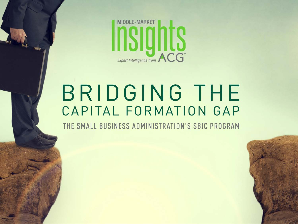

# BRIDGING THE CAPITAL FORMATION GAP

THE SMALL BUSINESS ADMINISTRATION'S SBIC PROGRAM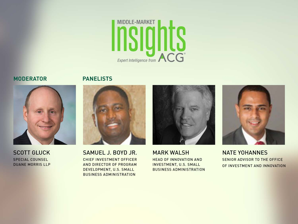

### **MODERATOR**





**SCOTT GLUCK** SPECIAL COUNSEL **DUANE MORRIS LLP** 



SAMUEL J. BOYD JR. CHIEF INVESTMENT OFFICER AND DIRECTOR OF PROGRAM DEVELOPMENT, U.S. SMALL **BUSINESS ADMINISTRATION** 



**MARK WALSH HEAD OF INNOVATION AND INVESTMENT, U.S. SMALL BUSINESS ADMINISTRATION** 



**NATE YOHANNES** SENIOR ADVISOR TO THE OFFICE OF INVESTMENT AND INNOVATION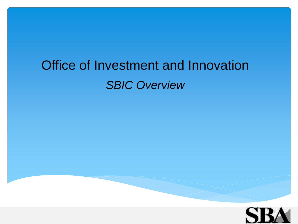# Office of Investment and Innovation *SBIC Overview*

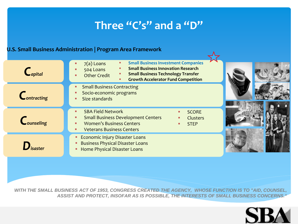# **Three "C's" and a "D"**

### **U.S. Small Business Administration | Program Area Framework**

| $C_{\text{apital}}$              | <b>Small Business Investment Companies</b><br>$7(a)$ Loans<br><b>Small Business Innovation Research</b><br>504 Loans<br><b>Small Business Technology Transfer</b><br><b>Other Credit</b><br><b>Growth Accelerator Fund Competition</b> |  |
|----------------------------------|----------------------------------------------------------------------------------------------------------------------------------------------------------------------------------------------------------------------------------------|--|
| $\mathsf{C}_{\text{ontracting}}$ | <b>Small Business Contracting</b><br>Socio-economic programs<br>Size standards<br>٠                                                                                                                                                    |  |
| Counseling                       | <b>SBA Field Network</b><br><b>SCORE</b><br><b>Small Business Development Centers</b><br>Clusters<br><b>Women's Business Centers</b><br><b>STEP</b><br><b>Veterans Business Centers</b><br>٠                                           |  |
| $\mathbf{D}_{\text{isaster}}$    | <b>Economic Injury Disaster Loans</b><br><b>Business Physical Disaster Loans</b><br>Home Physical Disaster Loans<br>٠                                                                                                                  |  |

*WITH THE SMALL BUSINESS ACT OF 1953, CONGRESS CREATED THE AGENCY, WHOSE FUNCTION IS TO "AID, COUNSEL, ASSIST AND PROTECT, INSOFAR AS IS POSSIBLE, THE INTERESTS OF SMALL BUSINESS CONCERNS."*

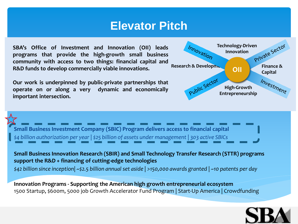# **Elevator Pitch**

**SBA's Office of Investment and Innovation (OII) leads programs that provide the high-growth small business community with access to two things: financial capital and R&D funds to develop commercially viable innovations.**

**Our work is underpinned by public-private partnerships that operate on or along a very dynamic and economically important intersection.**



**Small Business Investment Company (SBIC) Program delivers access to financial capital** *\$4 billion authorization per year | \$25 billion of assets under management | 303 active SBICs*

**Small Business Innovation Research (SBIR) and Small Technology Transfer Research (STTR) programs support the R&D + financing of cutting-edge technologies**

*\$42 billion since inception| ~\$2.5 billion annual set aside | >150,000 awards granted | ~10 patents per day*

**Innovation Programs - Supporting the American high growth entrepreneurial ecosystem** 1500 Startup, \$600m, 5000 job Growth Accelerator Fund Program | Start-Up America | Crowdfunding

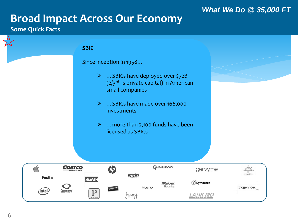## *What We Do @ 35,000 FT*

# **Broad Impact Across Our Economy**

### **Some Quick Facts**

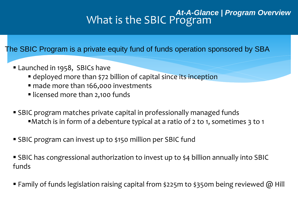# What is the SBIC Program *At-A-Glance | Program Overview*

The SBIC Program is a private equity fund of funds operation sponsored by SBA

- **Launched in 1958, SBICs have** 
	- **E** deployed more than \$72 billion of capital since its inception
	- made more than 166,000 investments
	- **I** licensed more than 2,100 funds
- SBIC program matches private capital in professionally managed funds Match is in form of a debenture typical at a ratio of 2 to 1, sometimes 3 to 1
- SBIC program can invest up to \$150 million per SBIC fund
- SBIC has congressional authorization to invest up to \$4 billion annually into SBIC funds
- **Family of funds legislation raising capital from \$225m to \$350m being reviewed @ Hill**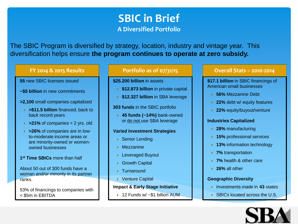# **SBIC in Brief A Diversified Portfolio**

The SBIC Program is diversified by strategy, location, industry and vintage year. This diversification helps ensure **the program continues to operate at zero subsidy.**

#### **FY 2014 & 2015 Results**

#### **55** new SBIC licenses issued

- **~\$5 billion** in new commitments
- **>2,100** small companies capitalized
	- **>\$11.5 billion** financed, back to back record years
	- **>21%** of companies < 2 yrs. old
	- **>26%** of companies are in lowto-moderate income areas or are minority-owned or womenowned businesses

#### **1st Time SBICs** more than half

About 50 out of 300 funds have a woman and/or minority in its partner ranks.

53% of financings to companies with < \$5m in EBITDA

#### **Portfolio as of 07/31/15**

- **\$25.200 billion** in assets
	- **★ \$12.873 billion** in private capital
	- **★ \$12.327 billion** in SBA leverage

#### **303 funds** in the SBIC portfolio

 **45 funds (~14%)** bank-owned or do not use SBA leverage

#### **Varied Investment Strategies**

- ▶ Senior Lending
- Mezzanine
- ▶ Leveraged Buyout
- ▶ Growth Capital
- ▶ Turnaround
- ▶ Venture Capital

#### **Impact & Early Stage Initiative**

▶ 12 Funds w/ ~\$1 billion AUM

#### **Overall Stats – 2010-2014**

**\$17.1 billion** in SBIC financings of American small businesses

- **56%** Mezzanine Debt
- **22%** debt w/ equity features
- **22%** equity/buyout/venture

#### **Industries Capitalized**

- **28%** manufacturing
- **15%** professional services
- ▶ 13% information technology
- **7%** transportation
- **7%** health & other care
- **26%** all other

#### **Geographic Diversity**

- **Investments made in 43 states**
- ▶ SBICs located across the U.S.

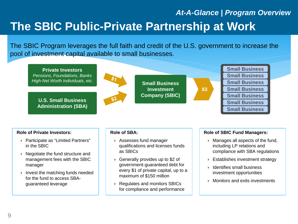# **The SBIC Public-Private Partnership at Work** *At-A-Glance | Program Overview*

The SBIC Program leverages the full faith and credit of the U.S. government to increase the pool of investment capital available to small businesses.



#### **Role of Private Investors:**

- ▶ Participate as "Limited Partners" in the SBIC
- $\triangleright$  Negotiate the fund structure and management fees with the SBIC manager
- Invest the matching funds needed for the fund to access SBAguaranteed leverage

#### **Role of SBA:**

- ▶ Assesses fund manager qualifications and licenses funds as SBICs
- ▶ Generally provides up to \$2 of government-guaranteed debt for every \$1 of private capital, up to a maximum of \$150 million
- ▶ Regulates and monitors SBICs for compliance and performance

#### **Role of SBIC Fund Managers:**

- $\blacktriangleright$  Manages all aspects of the fund, including LP relations and compliance with SBA regulations
- **Establishes investment strategy**
- $\blacktriangleright$  Identifies small business investment opportunities
- **Monitors and exits investments**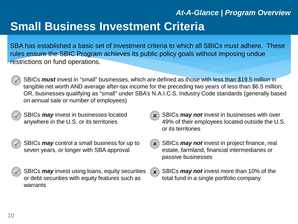# **Small Business Investment Criteria** *At-A-Glance | Program Overview*

SBA has established a basic set of investment criteria to which all SBICs must adhere. These rules ensure the SBIC Program achieves its public policy goals without imposing undue restrictions on fund operations.

- SBICs *must* invest in "small" businesses, which are defined as those with less than \$19.5 million in tangible net worth AND average after-tax income for the preceding two years of less than \$6.5 million; OR, businesses qualifying as "small" under SBA's N.A.I.C.S. Industry Code standards (generally based on annual sale or number of employees)
- SBICs *may* invest in businesses located anywhere in the U.S. or its territories
- SBICs *may* control a small business for up to seven years, or longer with SBA approval
- SBICs *may* invest using loans, equity securities or debt securities with equity features such as warrants
- SBICs *may not* invest in businesses with over 49% of their employees located outside the U.S. or its territories
- SBICs *may not* invest in project finance, real  $\mathbf{x}$ estate, farmland, financial intermediaries or passive businesses
- SBICs *may not* invest more than 10% of the  $(\mathbf{x})$ total fund in a single portfolio company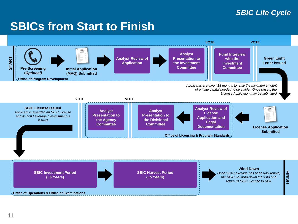# *SBIC Life Cycle*

# **SBICs from Start to Finish**

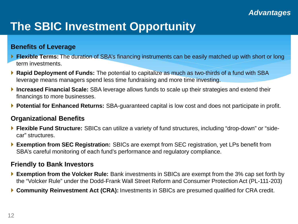# **The SBIC Investment Opportunity**

### **Benefits of Leverage**

- **Flexible Terms:** The duration of SBA's financing instruments can be easily matched up with short or long term investments.
- **Rapid Deployment of Funds:** The potential to capitalize as much as two-thirds of a fund with SBA leverage means managers spend less time fundraising and more time investing.
- **Increased Financial Scale:** SBA leverage allows funds to scale up their strategies and extend their financings to more businesses.
- **Potential for Enhanced Returns:** SBA-guaranteed capital is low cost and does not participate in profit.

### **Organizational Benefits**

- **Flexible Fund Structure:** SBICs can utilize a variety of fund structures, including "drop-down" or "sidecar" structures.
- **Exemption from SEC Registration:** SBICs are exempt from SEC registration, yet LPs benefit from SBA's careful monitoring of each fund's performance and regulatory compliance.

### **Friendly to Bank Investors**

- **Exemption from the Volcker Rule:** Bank investments in SBICs are exempt from the 3% cap set forth by the "Volcker Rule" under the Dodd-Frank Wall Street Reform and Consumer Protection Act (PL-111-203)
- **Community Reinvestment Act (CRA):** Investments in SBICs are presumed qualified for CRA credit.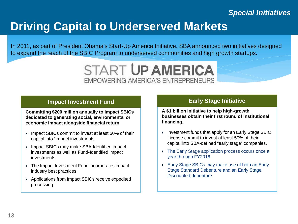# *Special Initiatives*

# **Driving Capital to Underserved Markets**

In 2011, as part of President Obama's Start-Up America Initiative, SBA announced two initiatives designed to expand the reach of the SBIC Program to underserved communities and high growth startups.



### **Impact Investment Fund**

**Committing \$200 million annually to Impact SBICs dedicated to generating social, environmental or economic impact alongside financial return.**

- ▶ Impact SBICs commit to invest at least 50% of their capital into "impact investments
- Impact SBICs may make SBA-Identified impact investments as well as Fund-Identified impact investments
- ▶ The Impact Investment Fund incorporates impact industry best practices
- Applications from Impact SBICs receive expedited processing

### **Early Stage Initiative**

**A \$1 billion initiative to help high-growth businesses obtain their first round of institutional financing.**

- $\triangleright$  Investment funds that apply for an Early Stage SBIC License commit to invest at least 50% of their capital into SBA-defined "early stage" companies.
- ▶ The Early Stage application process occurs once a year through FY2016.
- Early Stage SBICs may make use of both an Early Stage Standard Debenture and an Early Stage Discounted debenture.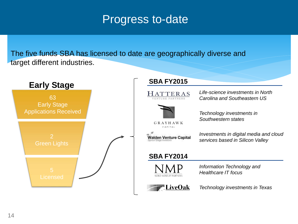# Progress to-date

The five funds SBA has licensed to date are geographically diverse and target different industries.

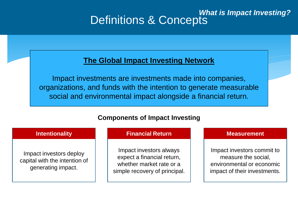# Definitions & Concepts *What is Impact Investing?*

## **The Global Impact Investing Network**

Impact investments are investments made into companies, organizations, and funds with the intention to generate measurable social and environmental impact alongside a financial return.

### **Components of Impact Investing**

### **Intentionality Intentionality**

Impact investors deploy capital with the intention of generating impact.

### **Financial Return**

Impact investors always expect a financial return, whether market rate or a simple recovery of principal.

#### **Measurement**

Impact investors commit to measure the social, environmental or economic impact of their investments.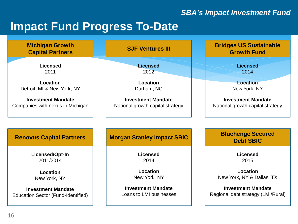# *SBA's Impact Investment Fund*

# **Impact Fund Progress To-Date**

| <b>Michigan Growth</b><br><b>Capital Partners</b> | <b>SJF Ventures III</b>           | <b>Bridges US Sustainable</b><br><b>Growth Fund</b> |
|---------------------------------------------------|-----------------------------------|-----------------------------------------------------|
| <b>Licensed</b>                                   | <b>Licensed</b>                   | <b>Licensed</b>                                     |
| 2011                                              | 2012                              | 2014                                                |
| Location                                          | Location                          | <b>Location</b>                                     |
| Detroit, MI & New York, NY                        | Durham, NC                        | New York, NY                                        |
| <b>Investment Mandate</b>                         | <b>Investment Mandate</b>         | <b>Investment Mandate</b>                           |
| Companies with nexus in Michigan                  | National growth capital strategy  | National growth capital strategy                    |
| <b>Renovus Capital Partners</b>                   | <b>Morgan Stanley Impact SBIC</b> | <b>Bluehenge Secured</b>                            |
| Licensed/Opt-In                                   | <b>Licensed</b>                   | <b>Debt SBIC</b><br><b>Licensed</b>                 |
| 2011/2014                                         | 2014                              | 2015                                                |
| Location                                          | Location                          | Location                                            |
| New York, NY                                      | New York, NY                      | New York, NY & Dallas, TX                           |
| <b>Investment Mandate</b>                         | <b>Investment Mandate</b>         | <b>Investment Mandate</b>                           |
| Education Sector (Fund-Identified)                | Loans to LMI businesses           | Regional debt strategy (LMI/Rural)                  |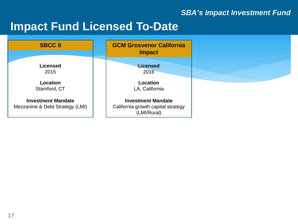# *SBA's Impact Investment Fund*

# **Impact Fund Licensed To-Date**

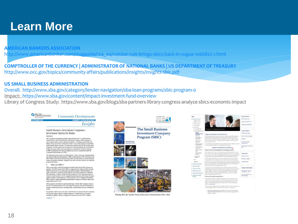# **Learn More**

#### **[AMERICAN BANKERS ASSOCIATION](http://www.occ.gov/topics/community-affairs/publications/insights/insights-sbic.pdf)**

[http://www.americanbanker.com/magazine/124\\_04/volcker-rule-brings-sbics-back-in-vogue-1066822-1.html](http://www.americanbanker.com/magazine/124_04/volcker-rule-brings-sbics-back-in-vogue-1066822-1.html)

**[COMPTROLLER OF THE CURRENCY | ADMINISTRATOR OF NATIONAL BANKS | US DEPARTMENT OF TREASURY](http://www.occ.gov/topics/community-affairs/publications/insights/insights-sbic.pdf)** <http://www.occ.gov/topics/community-affairs/publications/insights/insights-sbic.pdf>

#### **[US SMALL BUSINESS ADMINISTRATION](http://www.sba.gov/category/lender-navigation/sba-loan-programs/sbic-program-0)**

[Overall: http://www.sba.gov/category/lender-navigation/sba-loan-programs/sbic-program-0](http://www.sba.gov/category/lender-navigation/sba-loan-programs/sbic-program-0) Impact: <https://www.sba.gov/content/impact-investment-fund-overview>

Library of Congress Study: https://www.sba.gov/blogs/sba-partners-library-congress-analyze-sbics-economic-impact





Helping Meet the Capital Needs of America's Small Business Since 1958

| <b>ISBND</b>                                                     |                                                                                                                                                                                                                                                                                                                                                                                                                                                                                                                                                                                                                                                                                                 | Key Initiatives                             |
|------------------------------------------------------------------|-------------------------------------------------------------------------------------------------------------------------------------------------------------------------------------------------------------------------------------------------------------------------------------------------------------------------------------------------------------------------------------------------------------------------------------------------------------------------------------------------------------------------------------------------------------------------------------------------------------------------------------------------------------------------------------------------|---------------------------------------------|
| · Smark Morrange                                                 |                                                                                                                                                                                                                                                                                                                                                                                                                                                                                                                                                                                                                                                                                                 | Early Race Initiative                       |
| <b>Program Conview</b>                                           |                                                                                                                                                                                                                                                                                                                                                                                                                                                                                                                                                                                                                                                                                                 | Impact In wressed Punit                     |
| . Senata antitarra                                               |                                                                                                                                                                                                                                                                                                                                                                                                                                                                                                                                                                                                                                                                                                 |                                             |
| <b>ARA PARKETS</b>                                               |                                                                                                                                                                                                                                                                                                                                                                                                                                                                                                                                                                                                                                                                                                 | Energy Senatop Debenture                    |
| · Sa interior                                                    |                                                                                                                                                                                                                                                                                                                                                                                                                                                                                                                                                                                                                                                                                                 |                                             |
| 1 Each Supervision                                               | Impact Investment Fund                                                                                                                                                                                                                                                                                                                                                                                                                                                                                                                                                                                                                                                                          |                                             |
| · mast mastness fund                                             |                                                                                                                                                                                                                                                                                                                                                                                                                                                                                                                                                                                                                                                                                                 | Latest Opdates                              |
| Inpart<br><b>Pundrumt Fund</b><br>Overview                       | Impact Investment Fund Overview                                                                                                                                                                                                                                                                                                                                                                                                                                                                                                                                                                                                                                                                 | <b>ESC Overacio Papers</b>                  |
| texts Strip<br><b>Lipanong IB/a</b><br>mast fund                 | De most inestmes fursives autorez niers 2011 as set of a seres of effors acrossive<br>figure governments autochte großt and de eigenwitsfillereitet insect masting<br>PAUSY, ROUND USIR ESPAI BUSINES PLASTARY COYONY COCO POWER THE PICKY.                                                                                                                                                                                                                                                                                                                                                                                                                                                     | Policy & Decorate Changes<br>CECT Science   |
| ligativate.<br><b>Publishers</b>                                 | Azio males rough). I 222 milion infecte all- guarantes e empa commitmente a allegal to<br>EDGINE AND ART HOUSE                                                                                                                                                                                                                                                                                                                                                                                                                                                                                                                                                                                  | COONesse or \$200.                          |
| Expertent Linesung<br>trinsatilitis                              | P.2014 SBA empirision expense of the insectious meetings are publisher an updated<br>to impact inactment Function: which is a single for download paper.                                                                                                                                                                                                                                                                                                                                                                                                                                                                                                                                        | Serverical Stor                             |
| reachinerigii.<br><b>Hassingment</b>                             | Impact Investment Fund Policy                                                                                                                                                                                                                                                                                                                                                                                                                                                                                                                                                                                                                                                                   | <b>GET Program Looke, Resort</b><br>334     |
| Drectury of movies                                               | Opels of the Fund; Generating Impact and Developing an Industry                                                                                                                                                                                                                                                                                                                                                                                                                                                                                                                                                                                                                                 |                                             |
| <b>IBCs</b><br><b>PEAR PULLER</b><br>lam.ros<br><b>Ing large</b> | The primary goal of the Impact Kuns arts hard sacharize impact SBCs that seems Dimension.<br>francismos/vifurtnic mentre, and () general measurely social environmental practicisms<br>mixed, minutes the impact fungines appointed to the limited mixed master country.<br>INVESTIGATION CONTINUES INTO A 17YO F REPORT OF A 17YO F REPORTED                                                                                                                                                                                                                                                                                                                                                   | <b>Clubck Links</b><br>Anderson, Force      |
| Determines                                                       | The EBC Programmas a long traton of onungroup measure capital to smartall uncertained                                                                                                                                                                                                                                                                                                                                                                                                                                                                                                                                                                                                           | <b>GC Pilley Salaton</b>                    |
| <b>KG</b>                                                        | communities and is most innocence of the country that winter sector Great                                                                                                                                                                                                                                                                                                                                                                                                                                                                                                                                                                                                                       |                                             |
| Contentile                                                       | very EBCs and were on to finance some officials turned considerance, such as looks. Fectivans<br>Catto TVLTVLSSC Programs mout entervalor decorative passats happen charmats these                                                                                                                                                                                                                                                                                                                                                                                                                                                                                                              | Custom's Reports                            |
| Applicating to be any static                                     | anal qualvas suceses econes. Must of the president infrastructure on a linear calculation                                                                                                                                                                                                                                                                                                                                                                                                                                                                                                                                                                                                       |                                             |
| Operating art (BP)                                               | captal resurry situations for on-size at to a good \$80s.                                                                                                                                                                                                                                                                                                                                                                                                                                                                                                                                                                                                                                       |                                             |
| Investigation (SED)                                              | communication that accepts consumed heartwooders and accept<br>amanging and pitantials transformative approach to small such associated investments                                                                                                                                                                                                                                                                                                                                                                                                                                                                                                                                             | Contact Information                         |
| Illio Naccura Univer-                                            | yers useran about less taustinoid and and and an equipment unsers unance<br>bicaus manatein in appt remains abstituacions. With expires impactSBC<br>locals. We constitute it winning that content the resingence and at environmental of<br><b><i>ASSISTENTIAL GENERAL TAXABLE STATES</i></b>                                                                                                                                                                                                                                                                                                                                                                                                  | 400 Startment GM bin Floor<br>Hannest 20221 |
| Review the USD Register                                          |                                                                                                                                                                                                                                                                                                                                                                                                                                                                                                                                                                                                                                                                                                 | Brieg 197,000,020 E.mail                    |
| Feature of the lines.<br><b>Duschen</b>                          | Overview of the Impact investment Fund                                                                                                                                                                                                                                                                                                                                                                                                                                                                                                                                                                                                                                                          | audicities gu                               |
|                                                                  | Darret Itanses SBC paes. Hyaet SBC Law bouse exturies on financing US arrait<br>bushess, subtle interest controllers to be a state of the financial<br>potein Troat in extracts' inference sello appel TDA in agreed conversant in<br>happing of the affords to general state are entity of and the range of<br>SRCs on an expected best.<br>The most functional plents offer function programs field by the mention make selec-<br>of insurancepes, insuralistic was the second of survivance in exercent tension<br>· Sliversfectrast nearers must \$800 ne actuer inearers great-<br>focuse or maing pa-accross Still-partifies inpact in approve a repriced around<br>fareware to executive |                                             |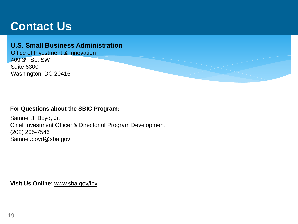# **Contact Us**

### **U.S. Small Business Administration**

Office of Investment & Innovation 409 3rd St., SW Suite 6300 Washington, DC 20416

### **For Questions about the SBIC Program:**

Samuel J. Boyd, Jr. Chief Investment Officer & Director of Program Development (202) 205-7546 Samuel.boyd@sba.gov

**Visit Us Online:** www.sba.gov/inv